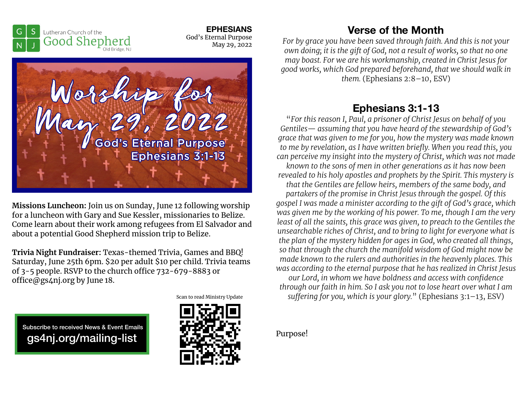**EPHESIANS**  God's Eternal Purpose May 29, 2022





**Missions Luncheon:** Join us on Sunday, June 12 following worship for a luncheon with Gary and Sue Kessler, missionaries to Belize. Come learn about their work among refugees from El Salvador and about a potential Good Shepherd mission trip to Belize.

**Trivia Night Fundraiser:** Texas-themed Trivia, Games and BBQ! Saturday, June 25th 6pm. \$20 per adult \$10 per child. Trivia teams of  $3-5$  people. RSVP to the church office  $732-679-8883$  or office@gs4nj.org by June 18.

Scan to read Ministry Update

 Subscribe to received News & Event Emails gs4nj.org/mailing-list



## **Verse of the Month**

*For by grace you have been saved through faith. And this is not your own doing; it is the gift of God, not a result of works, so that no one may boast. For we are his workmanship, created in Christ Jesus for good works, which God prepared beforehand, that we should walk in them.* (Ephesians 2:8–10, ESV)

## **Ephesians 3:1-13**

"*For this reason I, Paul, a prisoner of Christ Jesus on behalf of you Gentiles— assuming that you have heard of the stewardship of God's grace that was given to me for you, how the mystery was made known to me by revelation, as I have written briefly. When you read this, you can perceive my insight into the mystery of Christ, which was not made known to the sons of men in other generations as it has now been revealed to his holy apostles and prophets by the Spirit. This mystery is that the Gentiles are fellow heirs, members of the same body, and partakers of the promise in Christ Jesus through the gospel. Of this gospel I was made a minister according to the gift of God's grace, which was given me by the working of his power. To me, though I am the very least of all the saints, this grace was given, to preach to the Gentiles the unsearchable riches of Christ, and to bring to light for everyone what is the plan of the mystery hidden for ages in God, who created all things, so that through the church the manifold wisdom of God might now be made known to the rulers and authorities in the heavenly places. This was according to the eternal purpose that he has realized in Christ Jesus our Lord, in whom we have boldness and access with confidence through our faith in him. So I ask you not to lose heart over what I am su!ering for you, which is your glory.*" (Ephesians 3:1–13, ESV)

Purpose!